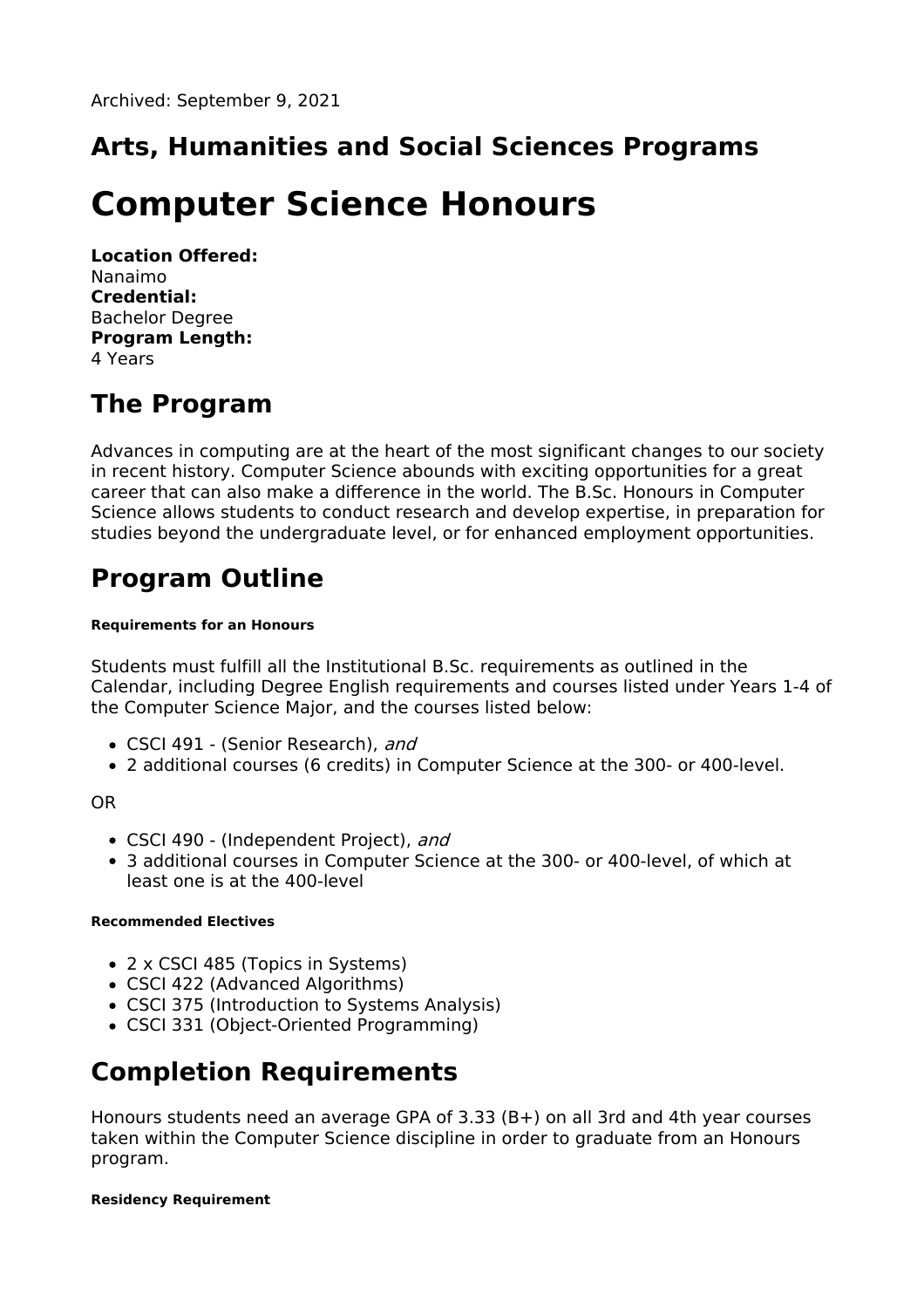## **Arts, Humanities and Social Sciences Programs**

# **Computer Science Honours**

**Location Offered:** Nanaimo **Credential:** Bachelor Degree **Program Length:** 4 Years

### **The Program**

Advances in computing are at the heart of the most significant changes to our society in recent history. Computer Science abounds with exciting opportunities for a great career that can also make a difference in the world. The B.Sc. Honours in Computer Science allows students to conduct research and develop expertise, in preparation for studies beyond the undergraduate level, or for enhanced employment opportunities.

# **Program Outline**

#### **Requirements for an Honours**

Students must fulfill all the Institutional B.Sc. requirements as outlined in the Calendar, including Degree English requirements and courses listed under Years 1-4 of the Computer Science Major, and the courses listed below:

- CSCI 491 (Senior Research), and
- 2 additional courses (6 credits) in Computer Science at the 300- or 400-level.

OR

- CSCI 490 (Independent Project), and
- 3 additional courses in Computer Science at the 300- or 400-level, of which at least one is at the 400-level

#### **Recommended Electives**

- 2 x CSCI 485 (Topics in Systems)
- CSCI 422 (Advanced Algorithms)
- CSCI 375 (Introduction to Systems Analysis)
- CSCI 331 (Object-Oriented Programming)

### **Completion Requirements**

Honours students need an average GPA of 3.33 (B+) on all 3rd and 4th year courses taken within the Computer Science discipline in order to graduate from an Honours program.

#### **Residency Requirement**